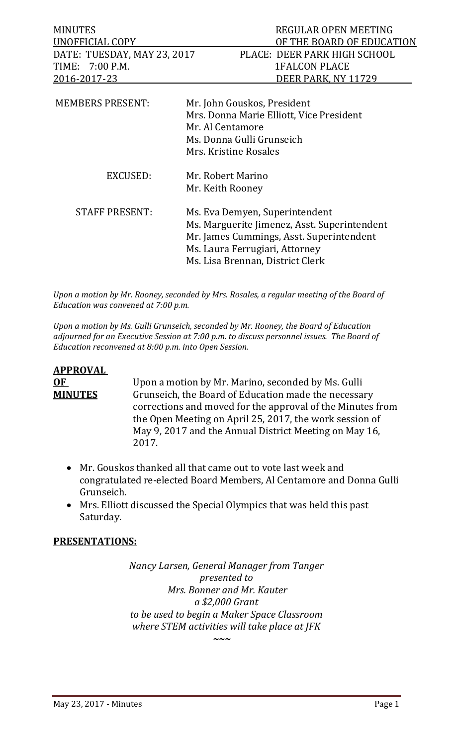| <b>MINUTES</b>                                 | REGULAR OPEN MEETING<br>OF THE BOARD OF EDUCATION                                                                                                                                                |
|------------------------------------------------|--------------------------------------------------------------------------------------------------------------------------------------------------------------------------------------------------|
| UNOFFICIAL COPY<br>DATE: TUESDAY, MAY 23, 2017 | PLACE: DEER PARK HIGH SCHOOL                                                                                                                                                                     |
| TIME: 7:00 P.M.                                | <b>1FALCON PLACE</b>                                                                                                                                                                             |
| 2016-2017-23                                   | DEER PARK, NY 11729                                                                                                                                                                              |
| <b>MEMBERS PRESENT:</b>                        | Mr. John Gouskos, President<br>Mrs. Donna Marie Elliott, Vice President<br>Mr. Al Centamore<br>Ms. Donna Gulli Grunseich<br>Mrs. Kristine Rosales                                                |
| EXCUSED:                                       | Mr. Robert Marino<br>Mr. Keith Rooney                                                                                                                                                            |
| <b>STAFF PRESENT:</b>                          | Ms. Eva Demyen, Superintendent<br>Ms. Marguerite Jimenez, Asst. Superintendent<br>Mr. James Cummings, Asst. Superintendent<br>Ms. Laura Ferrugiari, Attorney<br>Ms. Lisa Brennan, District Clerk |

*Upon a motion by Mr. Rooney, seconded by Mrs. Rosales, a regular meeting of the Board of Education was convened at 7:00 p.m.*

*Upon a motion by Ms. Gulli Grunseich, seconded by Mr. Rooney, the Board of Education adjourned for an Executive Session at 7:00 p.m. to discuss personnel issues. The Board of Education reconvened at 8:00 p.m. into Open Session.* 

#### **APPROVAL**

**OF** Upon a motion by Mr. Marino, seconded by Ms. Gulli<br> **MINUTES** Grunseich, the Board of Education made the necessa Grunseich, the Board of Education made the necessary corrections and moved for the approval of the Minutes from the Open Meeting on April 25, 2017, the work session of May 9, 2017 and the Annual District Meeting on May 16, 2017.

- Mr. Gouskos thanked all that came out to vote last week and congratulated re-elected Board Members, Al Centamore and Donna Gulli Grunseich.
- Mrs. Elliott discussed the Special Olympics that was held this past Saturday.

#### **PRESENTATIONS:**

*Nancy Larsen, General Manager from Tanger presented to Mrs. Bonner and Mr. Kauter a \$2,000 Grant to be used to begin a Maker Space Classroom where STEM activities will take place at JFK*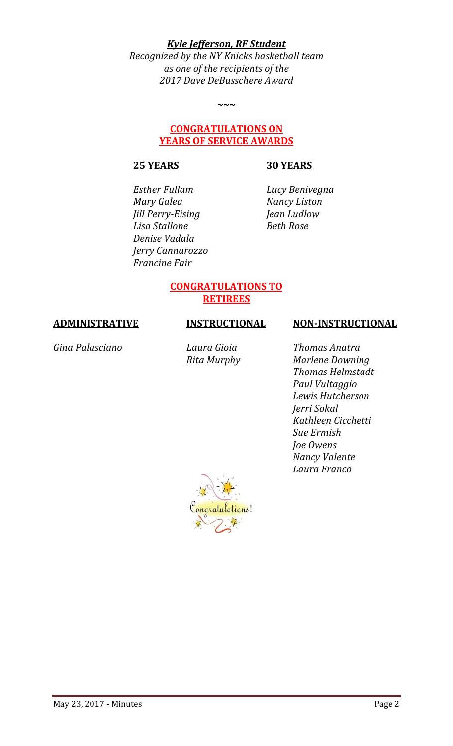*Kyle Jefferson, RF Student Recognized by the NY Knicks basketball team as one of the recipients of the 2017 Dave DeBusschere Award*

**~~~**

#### **CONGRATULATIONS ON YEARS OF SERVICE AWARDS**

## **25 YEARS 30 YEARS**

*Esther Fullam Lucy Benivegna Mary Galea Nancy Liston Jill Perry-Eising Jean Ludlow Lisa Stallone Beth Rose Denise Vadala Jerry Cannarozzo Francine Fair*

#### **CONGRATULATIONS TO RETIREES**

## **ADMINISTRATIVE INSTRUCTIONAL NON-INSTRUCTIONAL**

*Gina Palasciano Laura Gioia Thomas Anatra Rita Murphy Marlene Downing Thomas Helmstadt Paul Vultaggio Lewis Hutcherson Jerri Sokal Kathleen Cicchetti Sue Ermish Joe Owens Nancy Valente Laura Franco*

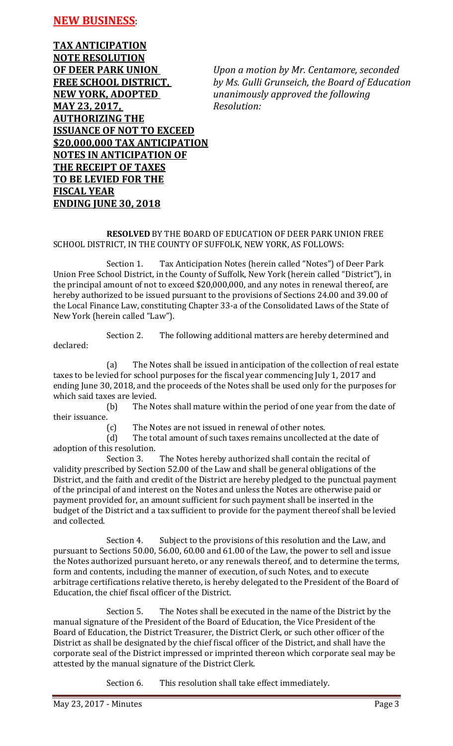## **NEW BUSINESS**:

**TAX ANTICIPATION NOTE RESOLUTION MAY 23, 2017,** *Resolution:* **AUTHORIZING THE ISSUANCE OF NOT TO EXCEED \$20,000,000 TAX ANTICIPATION NOTES IN ANTICIPATION OF THE RECEIPT OF TAXES TO BE LEVIED FOR THE FISCAL YEAR ENDING JUNE 30, 2018**

**OF DEER PARK UNION** *Upon a motion by Mr. Centamore, seconded* **FREE SCHOOL DISTRICT,** *by Ms. Gulli Grunseich, the Board of Education <u>unanimously</u> approved the following* 

#### **RESOLVED** BY THE BOARD OF EDUCATION OF DEER PARK UNION FREE SCHOOL DISTRICT, IN THE COUNTY OF SUFFOLK, NEW YORK, AS FOLLOWS:

Section 1. Tax Anticipation Notes (herein called "Notes") of Deer Park Union Free School District, in the County of Suffolk, New York (herein called "District"), in the principal amount of not to exceed \$20,000,000, and any notes in renewal thereof, are hereby authorized to be issued pursuant to the provisions of Sections 24.00 and 39.00 of the Local Finance Law, constituting Chapter 33-a of the Consolidated Laws of the State of New York (herein called "Law").

Section 2. The following additional matters are hereby determined and declared:

(a) The Notes shall be issued in anticipation of the collection of real estate taxes to be levied for school purposes for the fiscal year commencing July 1, 2017 and ending June 30, 2018, and the proceeds of the Notes shall be used only for the purposes for

which said taxes are levied.<br>(b) The No The Notes shall mature within the period of one year from the date of their issuance.<br>(c)

(c) The Notes are not issued in renewal of other notes.<br>(d) The total amount of such taxes remains uncollected

The total amount of such taxes remains uncollected at the date of adoption of this resolution.<br>Section 3.

The Notes hereby authorized shall contain the recital of validity prescribed by Section 52.00 of the Law and shall be general obligations of the District, and the faith and credit of the District are hereby pledged to the punctual payment of the principal of and interest on the Notes and unless the Notes are otherwise paid or payment provided for, an amount sufficient for such payment shall be inserted in the budget of the District and a tax sufficient to provide for the payment thereof shall be levied and collected.

Section 4. Subject to the provisions of this resolution and the Law, and pursuant to Sections 50.00, 56.00, 60.00 and 61.00 of the Law, the power to sell and issue the Notes authorized pursuant hereto, or any renewals thereof, and to determine the terms, form and contents, including the manner of execution, of such Notes, and to execute arbitrage certifications relative thereto, is hereby delegated to the President of the Board of Education, the chief fiscal officer of the District.

Section 5. The Notes shall be executed in the name of the District by the manual signature of the President of the Board of Education, the Vice President of the Board of Education, the District Treasurer, the District Clerk, or such other officer of the District as shall be designated by the chief fiscal officer of the District, and shall have the corporate seal of the District impressed or imprinted thereon which corporate seal may be attested by the manual signature of the District Clerk.

Section 6. This resolution shall take effect immediately.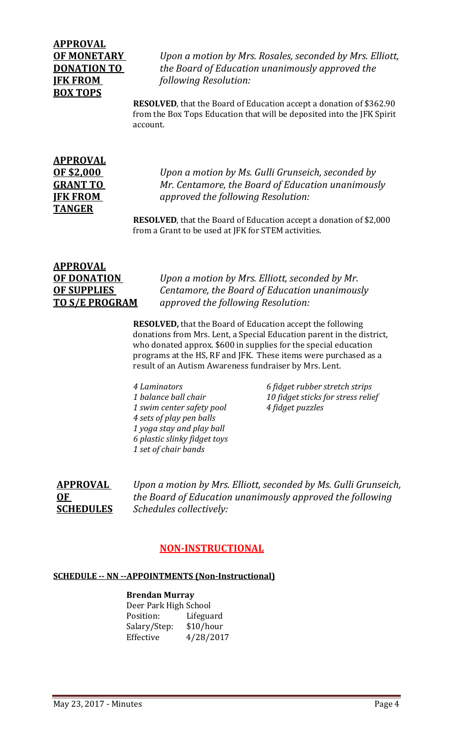# **APPROVAL BOX TOPS**

**OF MONETARY** *Upon a motion by Mrs. Rosales, seconded by Mrs. Elliott,* **DONATION TO** *the Board of Education unanimously approved the*  **JFK FROM** *following Resolution:*

> **RESOLVED**, that the Board of Education accept a donation of \$362.90 from the Box Tops Education that will be deposited into the JFK Spirit account.

# **APPROVAL TANGER**

**OF \$2,000** *Upon a motion by Ms. Gulli Grunseich, seconded by* **GRANT TO** *Mr. Centamore, the Board of Education unanimously* **JFK FROM** *approved the following Resolution:*

> **RESOLVED**, that the Board of Education accept a donation of \$2,000 from a Grant to be used at JFK for STEM activities.

# **APPROVAL**

**OF DONATION** *Upon a motion by Mrs. Elliott, seconded by Mr.*  **OF SUPPLIES** *Centamore, the Board of Education unanimously*  **TO S/E PROGRAM** *approved the following Resolution:*

> **RESOLVED,** that the Board of Education accept the following donations from Mrs. Lent, a Special Education parent in the district, who donated approx. \$600 in supplies for the special education programs at the HS, RF and JFK. These items were purchased as a result of an Autism Awareness fundraiser by Mrs. Lent.

*1 swim center safety pool 4 fidget puzzles 4 sets of play pen balls 1 yoga stay and play ball 6 plastic slinky fidget toys 1 set of chair bands*

*4 Laminators 6 fidget rubber stretch strips 1 balance ball chair 10 fidget sticks for stress relief* 

**APPROVAL** *Upon a motion by Mrs. Elliott, seconded by Ms. Gulli Grunseich,* **OF** *the Board of Education unanimously approved the following* **SCHEDULES** *Schedules collectively:*

# **NON-INSTRUCTIONAL**

#### **SCHEDULE -- NN --APPOINTMENTS (Non-Instructional)**

#### **Brendan Murray**

Deer Park High School<br>Position: Lifegua Lifeguard<br>\$10/hour Salary/Step:<br>Effective Effective 4/28/2017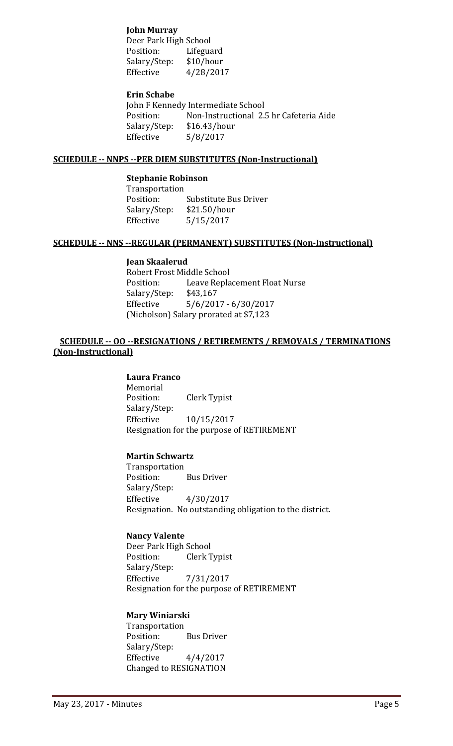#### **John Murray**

Deer Park High School<br>Position: Lifegua Lifeguard<br>\$10/hour Salary/Step:<br>Effective Effective 4/28/2017

#### **Erin Schabe**

John F Kennedy Intermediate School<br>Position: Non-Instructional 2. Non-Instructional 2.5 hr Cafeteria Aide<br>\$16.43/hour Salary/Step:<br>Effective Effective 5/8/2017

#### **SCHEDULE -- NNPS --PER DIEM SUBSTITUTES (Non-Instructional)**

#### **Stephanie Robinson**

Transportation Substitute Bus Driver<br>\$21.50/hour Salary/Step:<br>Effective  $5/15/2017$ 

#### **SCHEDULE -- NNS --REGULAR (PERMANENT) SUBSTITUTES (Non-Instructional)**

#### **Jean Skaalerud** Robert Frost Middle School<br>Position: Leave Repla Leave Replacement Float Nurse<br>\$43,167 Salary/Step: Effective 5/6/2017 - 6/30/2017 (Nicholson) Salary prorated at \$7,123

#### **SCHEDULE -- OO --RESIGNATIONS / RETIREMENTS / REMOVALS / TERMINATIONS (Non-Instructional)**

#### **Laura Franco**

Memorial<br>Position: Clerk Typist Salary/Step: Effective 10/15/2017 Resignation for the purpose of RETIREMENT

#### **Martin Schwartz**

Transportation<br>Position: **Bus Driver** Salary/Step:<br>Effective Effective 4/30/2017 Resignation. No outstanding obligation to the district.

#### **Nancy Valente**

Deer Park High School<br>Position: Clerk T **Clerk Typist** Salary/Step:<br>Effective Effective 7/31/2017 Resignation for the purpose of RETIREMENT

#### **Mary Winiarski**

Transportation<br>Position: **Bus Driver** Salary/Step:<br>Effective  $4/4/2017$ Changed to RESIGNATION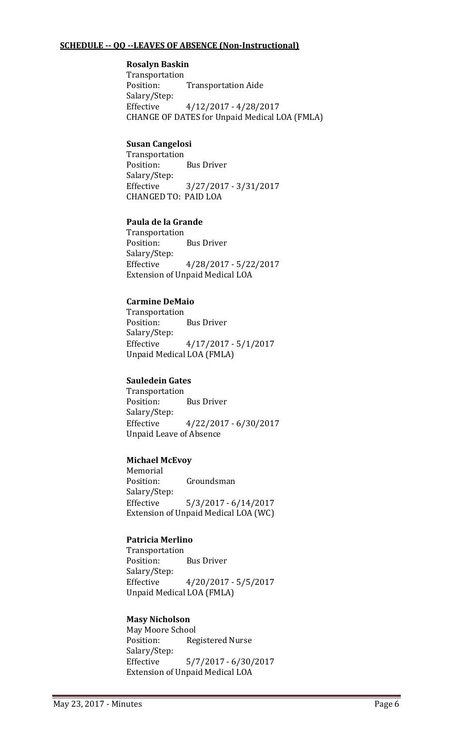#### **SCHEDULE -- QQ --LEAVES OF ABSENCE (Non-Instructional)**

#### **Rosalyn Baskin**

Transportation<br>Position: **Transportation Aide** Salary/Step: Effective 4/12/2017 - 4/28/2017 CHANGE OF DATES for Unpaid Medical LOA (FMLA)

#### **Susan Cangelosi**

Transportation<br>Position: **Bus Driver** Salary/Step: Effective 3/27/2017 - 3/31/2017 CHANGED TO: PAID LOA

#### **Paula de la Grande**

Transportation<br>Position: **Bus Driver** Salary/Step: Effective 4/28/2017 - 5/22/2017 Extension of Unpaid Medical LOA

#### **Carmine DeMaio**

Transportation **Bus Driver** Salary/Step:  $4/17/2017 - 5/1/2017$ Unpaid Medical LOA (FMLA)

#### **Sauledein Gates**

Transportation<br>Position: **Bus Driver** Salary/Step: Effective 4/22/2017 - 6/30/2017 Unpaid Leave of Absence

#### **Michael McEvoy**

Memorial<br>Position: Groundsman Salary/Step: Effective 5/3/2017 - 6/14/2017 Extension of Unpaid Medical LOA (WC)

#### **Patricia Merlino**

Transportation **Bus Driver** Salary/Step:  $4/20/2017 - 5/5/2017$ Unpaid Medical LOA (FMLA)

#### **Masy Nicholson**

May Moore School<br>Position: Reg Registered Nurse Salary/Step: Effective 5/7/2017 - 6/30/2017 Extension of Unpaid Medical LOA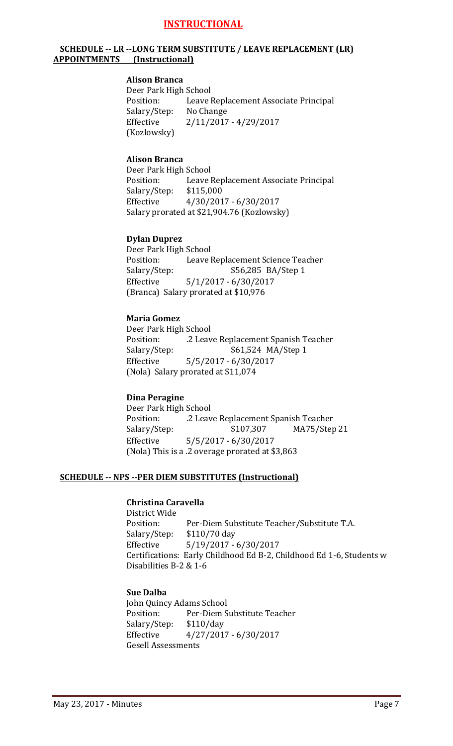#### **INSTRUCTIONAL**

#### **SCHEDULE -- LR --LONG TERM SUBSTITUTE / LEAVE REPLACEMENT (LR) APPOINTMENTS (Instructional)**

#### **Alison Branca**

Deer Park High School<br>Position: Leave Leave Replacement Associate Principal<br>No Change Salary/Step:<br>Effective Effective 2/11/2017 - 4/29/2017 (Kozlowsky)

#### **Alison Branca**

Deer Park High School<br>Position: Leave l Leave Replacement Associate Principal \$115,000 Salary/Step: Effective 4/30/2017 - 6/30/2017 Salary prorated at \$21,904.76 (Kozlowsky)

#### **Dylan Duprez**

Deer Park High School<br>Position: Leave I Position: Leave Replacement Science Teacher<br>Selary/Step: \$56,285 BA/Step 1 Salary/Step: \$56,285 BA/Step 1<br>Effective 5/1/2017 - 6/30/2017  $5/1/2017 - 6/30/2017$ (Branca) Salary prorated at \$10,976

#### **Maria Gomez**

Deer Park High School Position: .2 Leave Replacement Spanish Teacher \$61,524 MA/Step 1 Effective 5/5/2017 - 6/30/2017 (Nola) Salary prorated at \$11,074

#### **Dina Peragine**

Deer Park High School Position: .2 Leave Replacement Spanish Teacher MA75/Step 21 Effective 5/5/2017 - 6/30/2017 (Nola) This is a .2 overage prorated at \$3,863

#### **SCHEDULE -- NPS --PER DIEM SUBSTITUTES (Instructional)**

#### **Christina Caravella**

District Wide Position: Per-Diem Substitute Teacher/Substitute T.A.<br>Salary/Step: \$110/70 day Salary/Step: \$110/70 day<br>Effective 5/19/2017 -Effective 5/19/2017 - 6/30/2017 Certifications: Early Childhood Ed B-2, Childhood Ed 1-6, Students w Disabilities B-2 & 1-6

#### **Sue Dalba**

John Quincy Adams School<br>Position: Per-Diem S Per-Diem Substitute Teacher<br>\$110/day Salary/Step:<br>Effective Effective 4/27/2017 - 6/30/2017 Gesell Assessments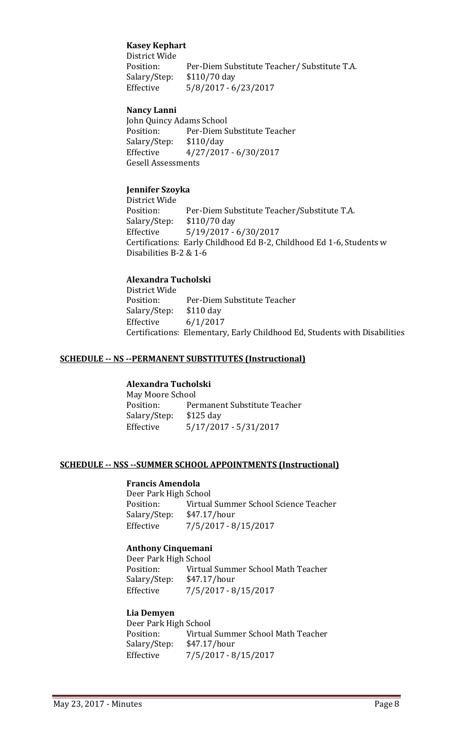#### **Kasey Kephart**

District Wide Per-Diem Substitute Teacher/ Substitute T.A. \$110/70 day Salary/Step:<br>Effective Effective 5/8/2017 - 6/23/2017

#### **Nancy Lanni**

John Quincy Adams School<br>Position: Per-Diem S Per-Diem Substitute Teacher<br>\$110/day Salary/Step:<br>Effective Effective 4/27/2017 - 6/30/2017 Gesell Assessments

#### **Jennifer Szoyka**

District Wide Per-Diem Substitute Teacher/Substitute T.A. \$110/70 day Salary/Step:<br>Effective Effective 5/19/2017 - 6/30/2017 Certifications: Early Childhood Ed B-2, Childhood Ed 1-6, Students w Disabilities B-2 & 1-6

#### **Alexandra Tucholski**

District Wide Per-Diem Substitute Teacher<br>\$110 day Salary/Step:<br>Effective  $6/1/2017$ Certifications: Elementary, Early Childhood Ed, Students with Disabilities

#### **SCHEDULE -- NS --PERMANENT SUBSTITUTES (Instructional)**

#### **Alexandra Tucholski**

May Moore School<br>Position: Per Permanent Substitute Teacher<br>\$125 dav Salary/Step:<br>Effective Effective 5/17/2017 - 5/31/2017

#### **SCHEDULE -- NSS --SUMMER SCHOOL APPOINTMENTS (Instructional)**

#### **Francis Amendola**

Deer Park High School<br>Position: Virtual Virtual Summer School Science Teacher<br>\$47.17/hour Salary/Step:<br>Effective Effective 7/5/2017 - 8/15/2017

#### **Anthony Cinquemani**

Deer Park High School Virtual Summer School Math Teacher<br>\$47.17/hour Salary/Step:<br>Effective Effective 7/5/2017 - 8/15/2017

#### **Lia Demyen**

Deer Park High School<br>Position: Virtual Virtual Summer School Math Teacher<br>\$47.17/hour Salary/Step:<br>Effective Effective 7/5/2017 - 8/15/2017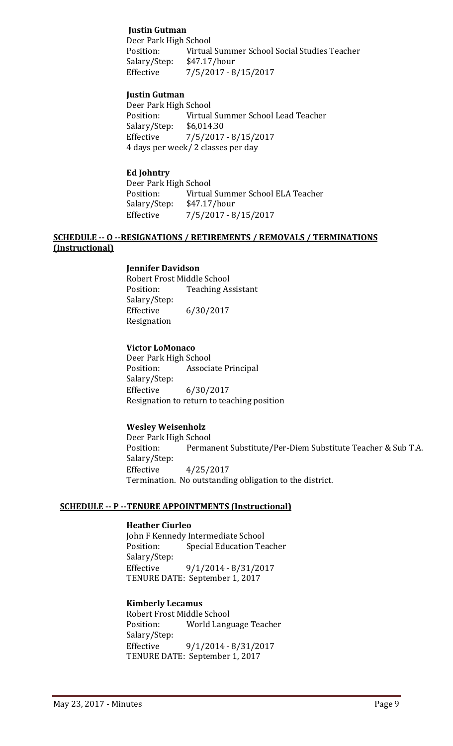#### **Justin Gutman**

Deer Park High School<br>Position: Virtual Virtual Summer School Social Studies Teacher<br>\$47.17/hour Salary/Step:<br>Effective Effective 7/5/2017 - 8/15/2017

#### **Justin Gutman**

Deer Park High School<br>Position: Virtual Virtual Summer School Lead Teacher<br>\$6,014.30 Salary/Step:<br>Effective Effective 7/5/2017 - 8/15/2017 4 days per week/ 2 classes per day

#### **Ed Johntry**

Deer Park High School<br>Position: Virtual Virtual Summer School ELA Teacher<br>\$47.17/hour Salary/Step:<br>Effective  $7/5/2017 - 8/15/2017$ 

#### **SCHEDULE -- O --RESIGNATIONS / RETIREMENTS / REMOVALS / TERMINATIONS (Instructional)**

#### **Jennifer Davidson**

Robert Frost Middle School<br>Position: Teaching As **Teaching Assistant** Salary/Step: Effective 6/30/2017 Resignation

#### **Victor LoMonaco**

Deer Park High School<br>Position: Associa Associate Principal Salary/Step:<br>Effective Effective 6/30/2017 Resignation to return to teaching position

#### **Wesley Weisenholz**

Deer Park High School<br>Position: Permai Permanent Substitute/Per-Diem Substitute Teacher & Sub T.A. Salary/Step:<br>Effective Effective 4/25/2017 Termination. No outstanding obligation to the district.

#### **SCHEDULE -- P --TENURE APPOINTMENTS (Instructional)**

#### **Heather Ciurleo**

John F Kennedy Intermediate School<br>Position: Special Education Tea Special Education Teacher Salary/Step:<br>Effective Effective 9/1/2014 - 8/31/2017 TENURE DATE: September 1, 2017

#### **Kimberly Lecamus**

Robert Frost Middle School<br>Position: World Lang World Language Teacher Salary/Step: Effective 9/1/2014 - 8/31/2017 TENURE DATE: September 1, 2017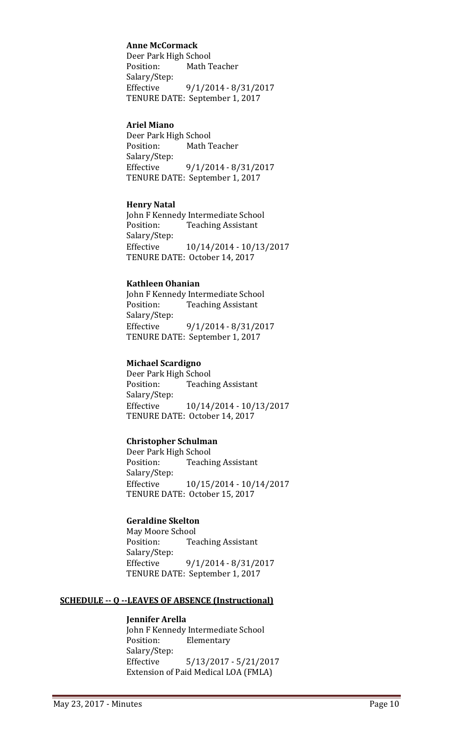#### **Anne McCormack**

Deer Park High School<br>Position: Math T Math Teacher Salary/Step: Effective 9/1/2014 - 8/31/2017 TENURE DATE: September 1, 2017

#### **Ariel Miano**

Deer Park High School<br>Position: Math T Math Teacher Salary/Step: Effective 9/1/2014 - 8/31/2017 TENURE DATE: September 1, 2017

#### **Henry Natal**

John F Kennedy Intermediate School<br>Position: Teaching Assistant **Teaching Assistant** Salary/Step: Effective 10/14/2014 - 10/13/2017 TENURE DATE: October 14, 2017

#### **Kathleen Ohanian**

John F Kennedy Intermediate School<br>Position: Teaching Assistant **Teaching Assistant** Salary/Step:<br>Effective Effective 9/1/2014 - 8/31/2017 TENURE DATE: September 1, 2017

#### **Michael Scardigno**

Deer Park High School<br>Position: Teachi **Teaching Assistant** Salary/Step: Effective 10/14/2014 - 10/13/2017 TENURE DATE: October 14, 2017

#### **Christopher Schulman**

Deer Park High School **Teaching Assistant** Salary/Step: Effective 10/15/2014 - 10/14/2017 TENURE DATE: October 15, 2017

#### **Geraldine Skelton**

May Moore School<br>Position: Tea **Teaching Assistant** Salary/Step: Effective 9/1/2014 - 8/31/2017 TENURE DATE: September 1, 2017

#### **SCHEDULE -- Q --LEAVES OF ABSENCE (Instructional)**

#### **Jennifer Arella**

John F Kennedy Intermediate School<br>Position: Elementary Elementary Salary/Step: Effective 5/13/2017 - 5/21/2017 Extension of Paid Medical LOA (FMLA)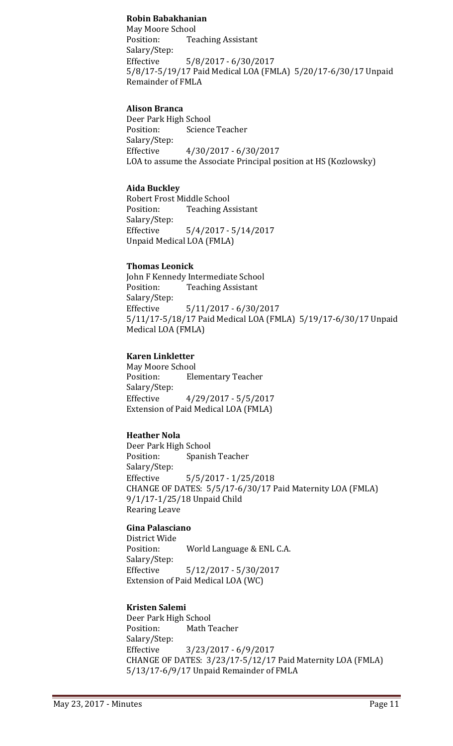#### **Robin Babakhanian**

May Moore School<br>Position: Tea **Teaching Assistant** Salary/Step: Effective 5/8/2017 - 6/30/2017 5/8/17-5/19/17 Paid Medical LOA (FMLA) 5/20/17-6/30/17 Unpaid Remainder of FMLA

#### **Alison Branca**

Deer Park High School<br>Position: Science Science Teacher Salary/Step:<br>Effective Effective 4/30/2017 - 6/30/2017 LOA to assume the Associate Principal position at HS (Kozlowsky)

#### **Aida Buckley**

Robert Frost Middle School<br>Position: Teaching As **Teaching Assistant** Salary/Step: Effective 5/4/2017 - 5/14/2017 Unpaid Medical LOA (FMLA)

#### **Thomas Leonick**

John F Kennedy Intermediate School<br>Position: Teaching Assistant **Teaching Assistant** Salary/Step: Effective 5/11/2017 - 6/30/2017 5/11/17-5/18/17 Paid Medical LOA (FMLA) 5/19/17-6/30/17 Unpaid Medical LOA (FMLA)

#### **Karen Linkletter**

May Moore School<br>Position: Ele **Elementary Teacher** Salary/Step:<br>Effective Effective 4/29/2017 - 5/5/2017 Extension of Paid Medical LOA (FMLA)

#### **Heather Nola**

Deer Park High School<br>Position: Spanisl Spanish Teacher Salary/Step:<br>Effective  $5/5/2017 - 1/25/2018$ CHANGE OF DATES: 5/5/17-6/30/17 Paid Maternity LOA (FMLA) 9/1/17-1/25/18 Unpaid Child Rearing Leave

#### **Gina Palasciano**

District Wide World Language & ENL C.A. Salary/Step:<br>Effective Effective 5/12/2017 - 5/30/2017 Extension of Paid Medical LOA (WC)

#### **Kristen Salemi**

Deer Park High School<br>Position: Math T Math Teacher Salary/Step: Effective 3/23/2017 - 6/9/2017 CHANGE OF DATES: 3/23/17-5/12/17 Paid Maternity LOA (FMLA) 5/13/17-6/9/17 Unpaid Remainder of FMLA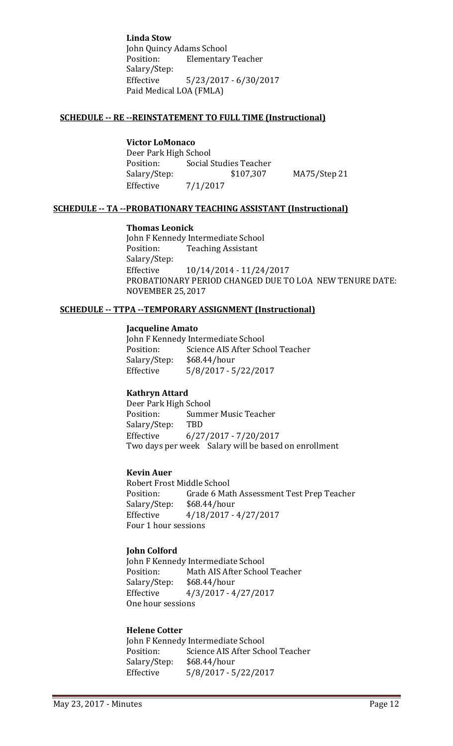**Linda Stow** John Quincy Adams School<br>Position: Elementary **Elementary Teacher** Salary/Step:<br>Effective Effective 5/23/2017 - 6/30/2017 Paid Medical LOA (FMLA)

#### **SCHEDULE -- RE --REINSTATEMENT TO FULL TIME (Instructional)**

#### **Victor LoMonaco**

Deer Park High School<br>Position: Social S Position: Social Studies Teacher<br>Salary/Step: \$107,307 MA75/Step 21 Effective 7/1/2017

#### **SCHEDULE -- TA --PROBATIONARY TEACHING ASSISTANT (Instructional)**

#### **Thomas Leonick**

John F Kennedy Intermediate School<br>Position: Teaching Assistant **Teaching Assistant** Salary/Step: Effective 10/14/2014 - 11/24/2017 PROBATIONARY PERIOD CHANGED DUE TO LOA NEW TENURE DATE: NOVEMBER 25,2017

#### **SCHEDULE -- TTPA --TEMPORARY ASSIGNMENT (Instructional)**

#### **Jacqueline Amato**

John F Kennedy Intermediate School<br>Position: Science AIS After Sch Science AIS After School Teacher<br>\$68.44/hour Salary/Step:<br>Effective Effective 5/8/2017 - 5/22/2017

#### **Kathryn Attard**

Deer Park High School<br>Position: Summe Summer Music Teacher<br>TBD Salary/Step:<br>Effective Effective 6/27/2017 - 7/20/2017 Two days per week Salary will be based on enrollment

#### **Kevin Auer**

Robert Frost Middle School<br>Position: Grade 6 Mat Position: Grade 6 Math Assessment Test Prep Teacher<br>Salary/Step: \$68.44/hour Salary/Step: \$68.44/hour<br>Effective 4/18/2017 -Effective 4/18/2017 - 4/27/2017 Four 1 hour sessions

#### **John Colford**

John F Kennedy Intermediate School<br>Position: Math AIS After Schoo Math AIS After School Teacher<br>\$68.44/hour Salary/Step:<br>Effective Effective 4/3/2017 - 4/27/2017 One hour sessions

#### **Helene Cotter**

John F Kennedy Intermediate School<br>Position: Science AIS After Sch Science AIS After School Teacher<br>\$68.44/hour Salary/Step:<br>Effective Effective 5/8/2017 - 5/22/2017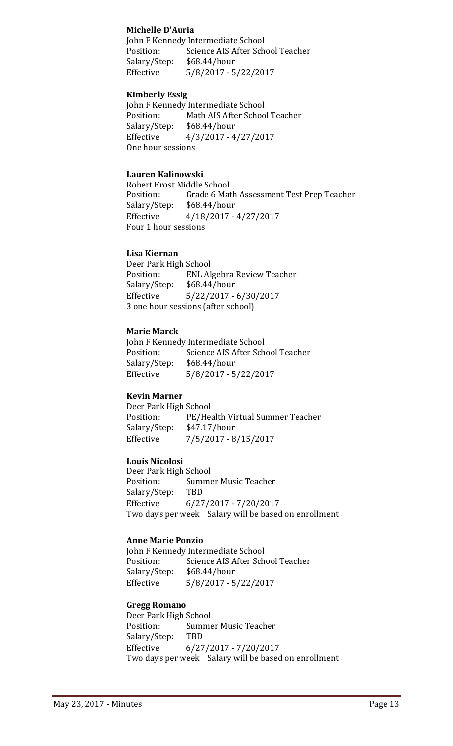#### **Michelle D'Auria**

John F Kennedy Intermediate School<br>Position: Science AIS After Sch Science AIS After School Teacher<br>\$68.44/hour Salary/Step:<br>Effective Effective 5/8/2017 - 5/22/2017

#### **Kimberly Essig**

John F Kennedy Intermediate School<br>Position: Math AIS After Schoo Math AIS After School Teacher<br>\$68.44/hour Salary/Step:<br>Effective Effective 4/3/2017 - 4/27/2017 One hour sessions

#### **Lauren Kalinowski**

Robert Frost Middle School<br>Position: Grade 6 Mat Grade 6 Math Assessment Test Prep Teacher<br>\$68.44/hour Salary/Step:<br>Effective Effective 4/18/2017 - 4/27/2017 Four 1 hour sessions

#### **Lisa Kiernan**

Deer Park High School<br>Position: ENL Al ENL Algebra Review Teacher<br>\$68.44/hour Salary/Step:<br>Effective Effective 5/22/2017 - 6/30/2017 3 one hour sessions (after school)

#### **Marie Marck**

John F Kennedy Intermediate School<br>Position: Science AIS After Sch Science AIS After School Teacher<br>\$68.44/hour Salary/Step:<br>Effective Effective 5/8/2017 - 5/22/2017

#### **Kevin Marner**

Deer Park High School<br>Position: PE/Hea PE/Health Virtual Summer Teacher<br>\$47.17/hour Salary/Step:<br>Effective Effective 7/5/2017 - 8/15/2017

#### **Louis Nicolosi**

Deer Park High School<br>Position: Summe Summer Music Teacher<br>TBD Salary/Step:<br>Effective Effective 6/27/2017 - 7/20/2017 Two days per week Salary will be based on enrollment

#### **Anne Marie Ponzio**

John F Kennedy Intermediate School<br>Position: Science AIS After Sch Science AIS After School Teacher<br>\$68.44/hour Salary/Step:<br>Effective Effective 5/8/2017 - 5/22/2017

#### **Gregg Romano**

Deer Park High School<br>Position: Summe Summer Music Teacher<br>TBD Salary/Step:<br>Effective Effective 6/27/2017 - 7/20/2017 Two days per week Salary will be based on enrollment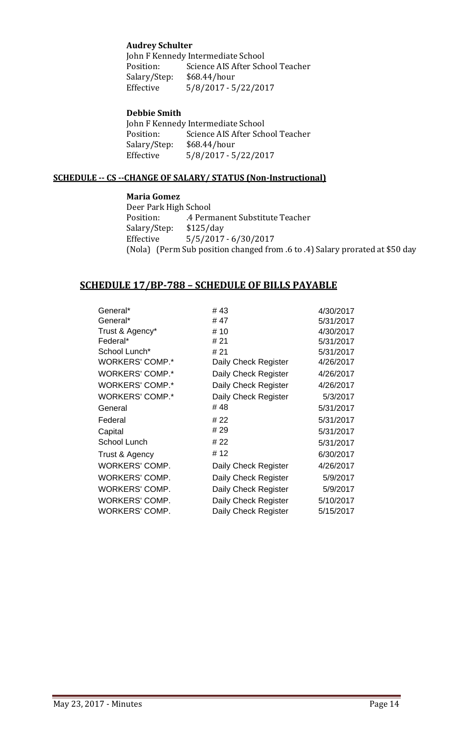#### **Audrey Schulter**

John F Kennedy Intermediate School<br>Position: Science AIS After Sch Science AIS After School Teacher<br>\$68.44/hour Salary/Step:<br>Effective Effective 5/8/2017 - 5/22/2017

#### **Debbie Smith**

John F Kennedy Intermediate School<br>Position: Science AIS After Sch Science AIS After School Teacher<br>\$68.44/hour Salary/Step:<br>Effective Effective 5/8/2017 - 5/22/2017

#### **SCHEDULE -- CS --CHANGE OF SALARY/ STATUS (Non-Instructional)**

#### **Maria Gomez**

Deer Park High School .4 Permanent Substitute Teacher<br>\$125/day Salary/Step:<br>Effective Effective 5/5/2017 - 6/30/2017 (Nola) (Perm Sub position changed from .6 to .4) Salary prorated at \$50 day

#### **SCHEDULE 17/BP-788 – SCHEDULE OF BILLS PAYABLE**

| General*               | #43                  | 4/30/2017 |
|------------------------|----------------------|-----------|
| General*               | #47                  | 5/31/2017 |
| Trust & Agency*        | # 10                 | 4/30/2017 |
| Federal*               | # 21                 | 5/31/2017 |
| School Lunch*          | # 21                 | 5/31/2017 |
| <b>WORKERS' COMP.*</b> | Daily Check Register | 4/26/2017 |
| <b>WORKERS' COMP.*</b> | Daily Check Register | 4/26/2017 |
| <b>WORKERS' COMP.*</b> | Daily Check Register | 4/26/2017 |
| <b>WORKERS' COMP.*</b> | Daily Check Register | 5/3/2017  |
| General                | #48                  | 5/31/2017 |
| Federal                | # 22                 | 5/31/2017 |
| Capital                | # 29                 | 5/31/2017 |
| School Lunch           | # 22                 | 5/31/2017 |
| Trust & Agency         | # 12                 | 6/30/2017 |
| <b>WORKERS' COMP.</b>  | Daily Check Register | 4/26/2017 |
| <b>WORKERS' COMP.</b>  | Daily Check Register | 5/9/2017  |
| <b>WORKERS' COMP.</b>  | Daily Check Register | 5/9/2017  |
| <b>WORKERS' COMP.</b>  | Daily Check Register | 5/10/2017 |
| <b>WORKERS' COMP.</b>  | Daily Check Register | 5/15/2017 |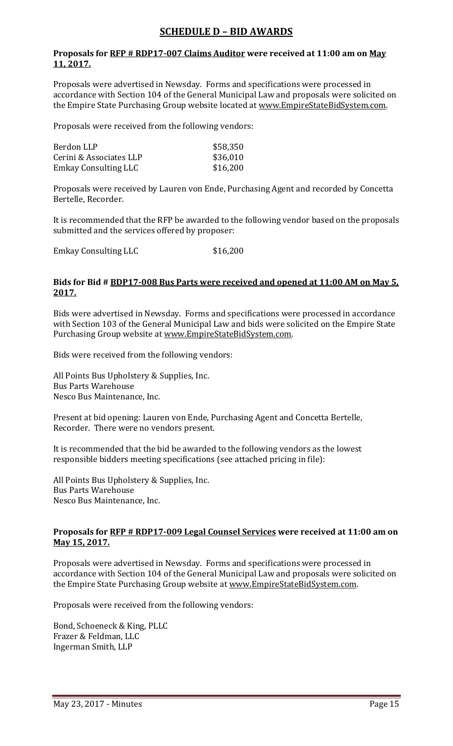#### **SCHEDULE D – BID AWARDS**

#### **Proposals for RFP # RDP17-007 Claims Auditor were received at 11:00 am on May 11, 2017.**

Proposals were advertised in Newsday. Forms and specifications were processed in accordance with Section 104 of the General Municipal Law and proposals were solicited on the Empire State Purchasing Group website located at [www.EmpireStateBidSystem.com.](http://www.empirestatebidsystem.com/)

Proposals were received from the following vendors:

| Berdon LLP                  | \$58,350 |
|-----------------------------|----------|
| Cerini & Associates LLP     | \$36,010 |
| <b>Emkay Consulting LLC</b> | \$16,200 |

Proposals were received by Lauren von Ende, Purchasing Agent and recorded by Concetta Bertelle, Recorder.

It is recommended that the RFP be awarded to the following vendor based on the proposals submitted and the services offered by proposer:

Emkay Consulting LLC \$16,200

#### **Bids for Bid # BDP17-008 Bus Parts were received and opened at 11:00 AM on May 5, 2017.**

Bids were advertised in Newsday. Forms and specifications were processed in accordance with Section 103 of the General Municipal Law and bids were solicited on the Empire State Purchasing Group website at [www.EmpireStateBidSystem.com.](http://www.empirestatebidsystem.com/)

Bids were received from the following vendors:

All Points Bus Upholstery & Supplies, Inc. Bus Parts Warehouse Nesco Bus Maintenance, Inc.

Present at bid opening: Lauren von Ende, Purchasing Agent and Concetta Bertelle, Recorder. There were no vendors present.

It is recommended that the bid be awarded to the following vendors as the lowest responsible bidders meeting specifications (see attached pricing in file):

All Points Bus Upholstery & Supplies, Inc. Bus Parts Warehouse Nesco Bus Maintenance, Inc.

#### **Proposals for RFP # RDP17-009 Legal Counsel Services were received at 11:00 am on May 15, 2017.**

Proposals were advertised in Newsday. Forms and specifications were processed in accordance with Section 104 of the General Municipal Law and proposals were solicited on the Empire State Purchasing Group website at [www.EmpireStateBidSystem.com.](http://www.empirestatebidsystem.com/)

Proposals were received from the following vendors:

Bond, Schoeneck & King, PLLC Frazer & Feldman, LLC Ingerman Smith, LLP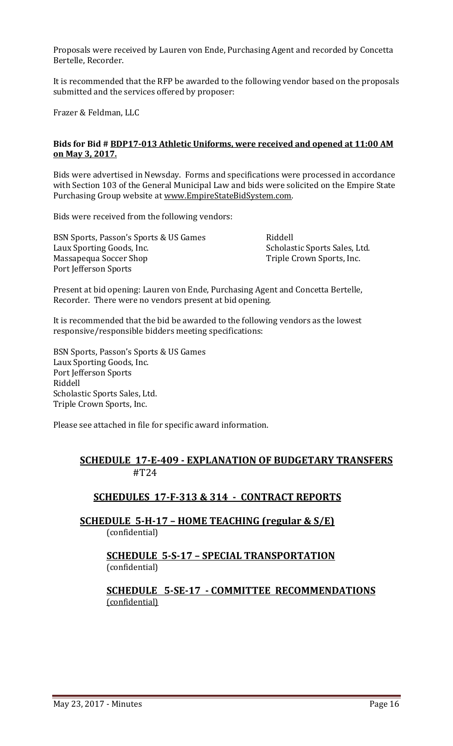Proposals were received by Lauren von Ende, Purchasing Agent and recorded by Concetta Bertelle, Recorder.

It is recommended that the RFP be awarded to the following vendor based on the proposals submitted and the services offered by proposer:

Frazer & Feldman, LLC

#### **Bids for Bid # BDP17-013 Athletic Uniforms, were received and opened at 11:00 AM on May 3, 2017.**

Bids were advertised in Newsday. Forms and specifications were processed in accordance with Section 103 of the General Municipal Law and bids were solicited on the Empire State Purchasing Group website at [www.EmpireStateBidSystem.com.](http://www.empirestatebidsystem.com/)

Bids were received from the following vendors:

BSN Sports, Passon's Sports & US Games Riddell Massapequa Soccer Shop Port Jefferson Sports

Scholastic Sports Sales, Ltd.<br>Triple Crown Sports, Inc.

Present at bid opening: Lauren von Ende, Purchasing Agent and Concetta Bertelle, Recorder. There were no vendors present at bid opening.

It is recommended that the bid be awarded to the following vendors as the lowest responsive/responsible bidders meeting specifications:

BSN Sports, Passon's Sports & US Games Laux Sporting Goods, Inc. Port Jefferson Sports Riddell Scholastic Sports Sales, Ltd. Triple Crown Sports, Inc.

Please see attached in file for specific award information.

#### **SCHEDULE 17-E-409 - EXPLANATION OF BUDGETARY TRANSFERS** #T24

#### **SCHEDULES 17-F-313 & 314 - CONTRACT REPORTS**

**SCHEDULE 5-H-17 – HOME TEACHING (regular & S/E)**  (confidential)

#### **SCHEDULE 5-S-17 – SPECIAL TRANSPORTATION**  (confidential)

**SCHEDULE 5-SE-17 - COMMITTEE RECOMMENDATIONS** (confidential)